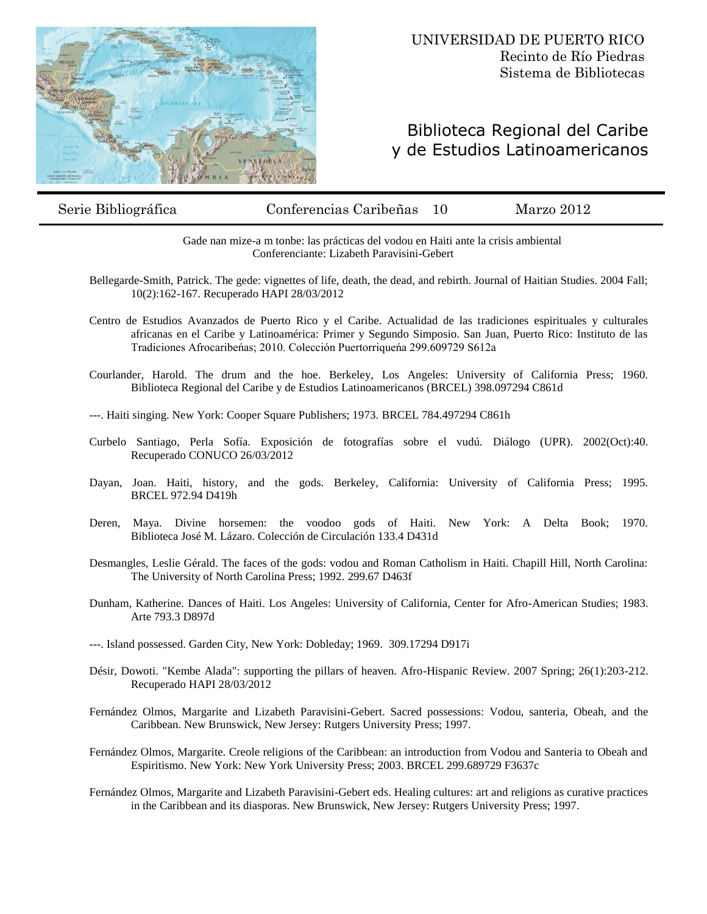

## Biblioteca Regional del Caribe y de Estudios Latinoamericanos

Serie Bibliográfica Conferencias Caribeñas 10 Marzo 2012

Gade nan mize-a m tonbe: las prácticas del vodou en Haiti ante la crisis ambiental Conferenciante: Lizabeth Paravisini-Gebert

- Bellegarde-Smith, Patrick. The gede: vignettes of life, death, the dead, and rebirth. Journal of Haitian Studies. 2004 Fall; 10(2):162-167. Recuperado HAPI 28/03/2012
- Centro de Estudios Avanzados de Puerto Rico y el Caribe. Actualidad de las tradiciones espirituales y culturales africanas en el Caribe y Latinoamérica: Primer y Segundo Simposio. San Juan, Puerto Rico: Instituto de las Tradiciones Afrocaribeńas; 2010. Colección Puertorriqueńa 299.609729 S612a
- Courlander, Harold. The drum and the hoe. Berkeley, Los Angeles: University of California Press; 1960. Biblioteca Regional del Caribe y de Estudios Latinoamericanos (BRCEL) 398.097294 C861d
- ---. Haiti singing. New York: Cooper Square Publishers; 1973. BRCEL 784.497294 C861h
- Curbelo Santiago, Perla Sofía. Exposición de fotografías sobre el vudú. Diálogo (UPR). 2002(Oct):40. Recuperado CONUCO 26/03/2012
- Dayan, Joan. Haiti, history, and the gods. Berkeley, California: University of California Press; 1995. BRCEL 972.94 D419h
- Deren, Maya. Divine horsemen: the voodoo gods of Haiti. New York: A Delta Book; 1970. Biblioteca José M. Lázaro. Colección de Circulación 133.4 D431d
- Desmangles, Leslie Gérald. The faces of the gods: vodou and Roman Catholism in Haiti. Chapill Hill, North Carolina: The University of North Carolina Press; 1992. 299.67 D463f
- Dunham, Katherine. Dances of Haiti. Los Angeles: University of California, Center for Afro-American Studies; 1983. Arte 793.3 D897d
- ---. Island possessed. Garden City, New York: Dobleday; 1969. 309.17294 D917i
- Désir, Dowoti. "Kembe Alada": supporting the pillars of heaven. Afro-Hispanic Review. 2007 Spring; 26(1):203-212. Recuperado HAPI 28/03/2012
- Fernández Olmos, Margarite and Lizabeth Paravisini-Gebert. Sacred possessions: Vodou, santeria, Obeah, and the Caribbean. New Brunswick, New Jersey: Rutgers University Press; 1997.
- Fernández Olmos, Margarite. Creole religions of the Caribbean: an introduction from Vodou and Santeria to Obeah and Espiritismo. New York: New York University Press; 2003. BRCEL 299.689729 F3637c
- Fernández Olmos, Margarite and Lizabeth Paravisini-Gebert eds. Healing cultures: art and religions as curative practices in the Caribbean and its diasporas. New Brunswick, New Jersey: Rutgers University Press; 1997.